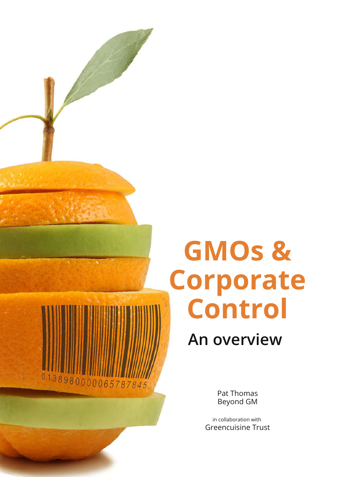# **GMOs & Corporate Control**

**An overview**

Pat Thomas Beyond GM

38980000065787845

in collaboration with Greencuisine Trust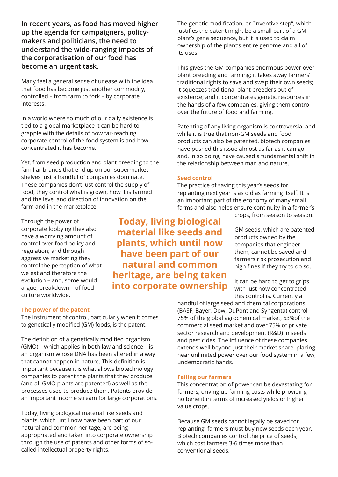**In recent years, as food has moved higher up the agenda for campaigners, policymakers and politicians, the need to understand the wide-ranging impacts of the corporatisation of our food has become an urgent task.**

Many feel a general sense of unease with the idea that food has become just another commodity, controlled – from farm to fork – by corporate interests.

In a world where so much of our daily existence is tied to a global marketplace it can be hard to grapple with the details of how far-reaching corporate control of the food system is and how concentrated it has become.

Yet, from seed production and plant breeding to the familiar brands that end up on our supermarket shelves just a handful of companies dominate. These companies don't just control the supply of food, they control what is grown, how it is farmed and the level and direction of innovation on the farm and in the marketplace.

Through the power of corporate lobbying they also have a worrying amount of control over food policy and regulation; and through aggressive marketing they control the perception of what we eat and therefore the evolution – and, some would argue, breakdown – of food culture worldwide.

### **The power of the patent**

The instrument of control, particularly when it comes to genetically modified (GM) foods, is the patent.

The definition of a genetically modified organism (GMO) – which applies in both law and science – is an organism whose DNA has been altered in a way that cannot happen in nature. This definition is important because it is what allows biotechnology companies to patent the plants that they produce (and all GMO plants are patented) as well as the processes used to produce them. Patents provide an important income stream for large corporations.

Today, living biological material like seeds and plants, which until now have been part of our natural and common heritage, are being appropriated and taken into corporate ownership through the use of patents and other forms of socalled intellectual property rights.

The genetic modification, or "inventive step", which justifies the patent might be a small part of a GM plant's gene sequence, but it is used to claim ownership of the plant's entire genome and all of its uses.

This gives the GM companies enormous power over plant breeding and farming; it takes away farmers' traditional rights to save and swap their own seeds; it squeezes traditional plant breeders out of existence; and it concentrates genetic resources in the hands of a few companies, giving them control over the future of food and farming.

Patenting of any living organism is controversial and while it is true that non-GM seeds and food products can also be patented, biotech companies have pushed this issue almost as far as it can go and, in so doing, have caused a fundamental shift in the relationship between man and nature.

#### **Seed control**

The practice of saving this year's seeds for replanting next year is as old as farming itself. It is an important part of the economy of many small farms and also helps ensure continuity in a farmer's

crops, from season to season.

GM seeds, which are patented products owned by the companies that engineer them, cannot be saved and farmers risk prosecution and high fines if they try to do so.

It can be hard to get to grips with just how concentrated this control is. Currently a

handful of large seed and chemical corporations (BASF, Bayer, Dow, DuPont and Syngenta) control 75% of the global agrochemical market, 63%of the commercial seed market and over 75% of private sector research and development (R&D) in seeds and pesticides. The influence of these companies extends well beyond just their market share, placing near unlimited power over our food system in a few, undemocratic hands.

#### **Failing our farmers**

This concentration of power can be devastating for farmers, driving up farming costs while providing no benefit in terms of increased yields or higher value crops.

Because GM seeds cannot legally be saved for replanting, farmers must buy new seeds each year. Biotech companies control the price of seeds, which cost farmers 3-6 times more than conventional seeds.

**Today, living biological material like seeds and plants, which until now have been part of our natural and common heritage, are being taken into corporate ownership**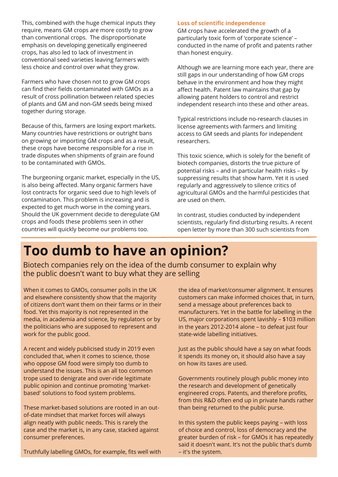This, combined with the huge chemical inputs they require, means GM crops are more costly to grow than conventional crops. The disproportionate emphasis on developing genetically engineered crops, has also led to lack of investment in conventional seed varieties leaving farmers with less choice and control over what they grow.

Farmers who have chosen not to grow GM crops can find their fields contaminated with GMOs as a result of cross pollination between related species of plants and GM and non-GM seeds being mixed together during storage.

Because of this, farmers are losing export markets. Many countries have restrictions or outright bans on growing or importing GM crops and as a result, these crops have become responsible for a rise in trade disputes when shipments of grain are found to be contaminated with GMOs.

The burgeoning organic market, especially in the US, is also being affected. Many organic farmers have lost contracts for organic seed due to high levels of contamination. This problem is increasing and is expected to get much worse in the coming years. Should the UK government decide to deregulate GM crops and foods these problems seen in other countries will quickly become our problems too.

### **Loss of scientific independence**

GM crops have accelerated the growth of a particularly toxic form of 'corporate science' – conducted in the name of profit and patents rather than honest enquiry.

Although we are learning more each year, there are still gaps in our understanding of how GM crops behave in the environment and how they might affect health. Patent law maintains that gap by allowing patent holders to control and restrict independent research into these and other areas.

Typical restrictions include no-research clauses in license agreements with farmers and limiting access to GM seeds and plants for independent researchers.

This toxic science, which is solely for the benefit of biotech companies, distorts the true picture of potential risks – and in particular health risks – by suppressing results that show harm. Yet it is used regularly and aggressively to silence critics of agricultural GMOs and the harmful pesticides that are used on them.

In contrast, studies conducted by independent scientists, regularly find disturbing results. A recent open letter by more than 300 such scientists from

## **Too dumb to have an opinion?**

Biotech companies rely on the idea of the dumb consumer to explain why the public doesn't want to buy what they are selling

When it comes to GMOs, consumer polls in the UK and elsewhere consistently show that the majority of citizens don't want them on their farms or in their food. Yet this majority is not represented in the media, in academia and science, by regulators or by the politicians who are supposed to represent and work for the public good.

A recent and widely publicised study in 2019 even concluded that, when it comes to science, those who oppose GM food were simply too dumb to understand the issues. This is an all too common trope used to denigrate and over-ride legitimate public opinion and continue promoting 'marketbased' solutions to food system problems.

These market-based solutions are rooted in an outof-date mindset that market forces will always align neatly with public needs. This is rarely the case and the market is, in any case, stacked against consumer preferences.

Truthfully labelling GMOs, for example, fits well with

the idea of market/consumer alignment. It ensures customers can make informed choices that, in turn, send a message about preferences back to manufacturers. Yet in the battle for labelling in the US, major corporations spent lavishly – \$103 million in the years 2012-2014 alone – to defeat just four state-wide labelling initiatives.

Just as the public should have a say on what foods it spends its money on, it should also have a say on how its taxes are used.

Governments routinely plough public money into the research and development of genetically engineered crops. Patents, and therefore profits, from this R&D often end up in private hands rather than being returned to the public purse.

In this system the public keeps paying – with loss of choice and control, loss of democracy and the greater burden of risk – for GMOs it has repeatedly said it doesn't want. It's not the public that's dumb – it's the system.